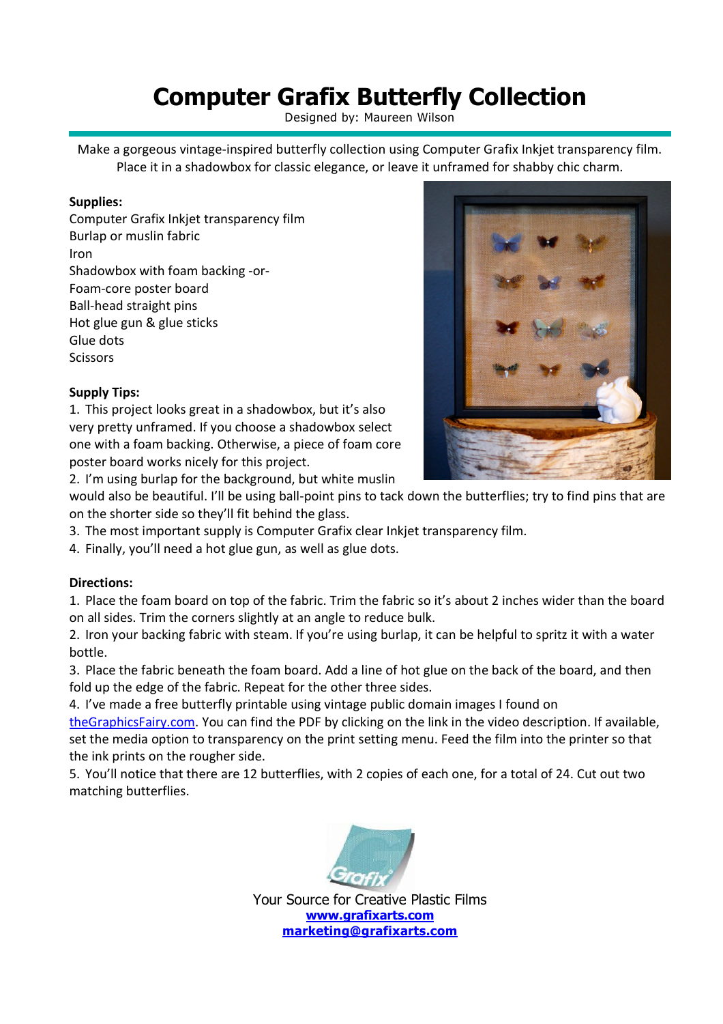# **Computer Grafix Butterfly Collection**

Designed by: Maureen Wilson

Make a gorgeous vintage-inspired butterfly collection using Computer Grafix Inkjet transparency film. Place it in a shadowbox for classic elegance, or leave it unframed for shabby chic charm.

#### **Supplies:**

Computer Grafix Inkjet transparency film Burlap or muslin fabric Iron Shadowbox with foam backing -or-Foam-core poster board Ball-head straight pins Hot glue gun & glue sticks Glue dots **Scissors** 

### **Supply Tips:**

1. This project looks great in a shadowbox, but it's also very pretty unframed. If you choose a shadowbox select one with a foam backing. Otherwise, a piece of foam core poster board works nicely for this project.

2. I'm using burlap for the background, but white muslin

would also be beautiful. I'll be using ball-point pins to tack down the butterflies; try to find pins that are on the shorter side so they'll fit behind the glass.

- 3. The most important supply is Computer Grafix clear Inkjet transparency film.
- 4. Finally, you'll need a hot glue gun, as well as glue dots.

#### **Directions:**

1. Place the foam board on top of the fabric. Trim the fabric so it's about 2 inches wider than the board on all sides. Trim the corners slightly at an angle to reduce bulk.

2. Iron your backing fabric with steam. If you're using burlap, it can be helpful to spritz it with a water bottle.

3. Place the fabric beneath the foam board. Add a line of hot glue on the back of the board, and then fold up the edge of the fabric. Repeat for the other three sides.

4. I've made a free butterfly printable using vintage public domain images I found on

theGraphicsFairy.com. You can find the PDF by clicking on the link in the video description. If available, set the media option to transparency on the print setting menu. Feed the film into the printer so that the ink prints on the rougher side.

5. You'll notice that there are 12 butterflies, with 2 copies of each one, for a total of 24. Cut out two matching butterflies.



Your Source for Creative Plastic Films **www.grafixarts.com marketing@grafixarts.com**